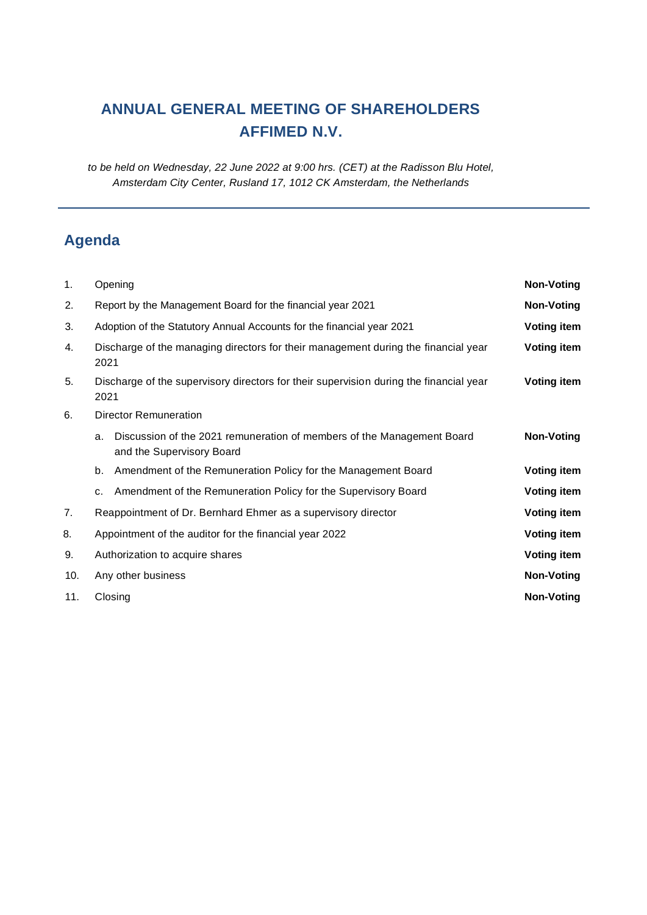# **ANNUAL GENERAL MEETING OF SHAREHOLDERS AFFIMED N.V.**

*to be held on Wednesday, 22 June 2022 at 9:00 hrs. (CET) at the Radisson Blu Hotel, Amsterdam City Center, Rusland 17, 1012 CK Amsterdam, the Netherlands*

# **Agenda**

| 1.  | Opening                                                                                                   | <b>Non-Voting</b>  |
|-----|-----------------------------------------------------------------------------------------------------------|--------------------|
| 2.  | Report by the Management Board for the financial year 2021                                                | <b>Non-Voting</b>  |
| 3.  | Adoption of the Statutory Annual Accounts for the financial year 2021                                     | <b>Voting item</b> |
| 4.  | Discharge of the managing directors for their management during the financial year<br>2021                | <b>Voting item</b> |
| 5.  | Discharge of the supervisory directors for their supervision during the financial year<br>2021            | <b>Voting item</b> |
| 6.  | <b>Director Remuneration</b>                                                                              |                    |
|     | Discussion of the 2021 remuneration of members of the Management Board<br>a.<br>and the Supervisory Board | <b>Non-Voting</b>  |
|     | Amendment of the Remuneration Policy for the Management Board<br>b.                                       | Voting item        |
|     | Amendment of the Remuneration Policy for the Supervisory Board<br>c.                                      | <b>Voting item</b> |
| 7.  | Reappointment of Dr. Bernhard Ehmer as a supervisory director                                             | <b>Voting item</b> |
| 8.  | Appointment of the auditor for the financial year 2022                                                    | <b>Voting item</b> |
| 9.  | Authorization to acquire shares                                                                           | <b>Voting item</b> |
| 10. | Any other business                                                                                        | <b>Non-Voting</b>  |
| 11. | Closing                                                                                                   | <b>Non-Voting</b>  |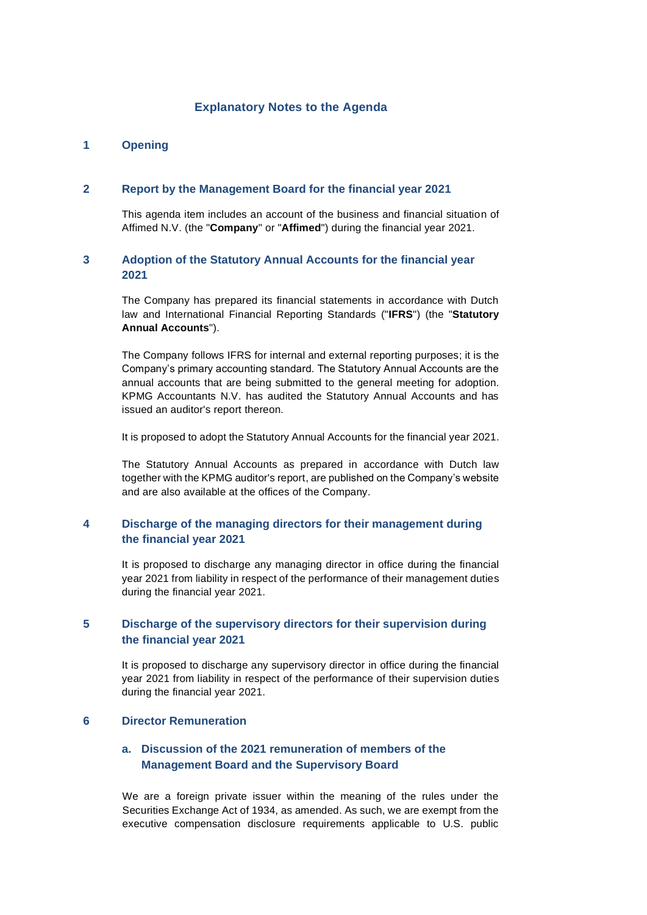# **Explanatory Notes to the Agenda**

## **1 Opening**

#### **2 Report by the Management Board for the financial year 2021**

This agenda item includes an account of the business and financial situation of Affimed N.V. (the "**Company**" or "**Affimed**") during the financial year 2021.

# **3 Adoption of the Statutory Annual Accounts for the financial year 2021**

The Company has prepared its financial statements in accordance with Dutch law and International Financial Reporting Standards ("**IFRS**") (the "**Statutory Annual Accounts**").

The Company follows IFRS for internal and external reporting purposes; it is the Company's primary accounting standard. The Statutory Annual Accounts are the annual accounts that are being submitted to the general meeting for adoption. KPMG Accountants N.V. has audited the Statutory Annual Accounts and has issued an auditor's report thereon.

It is proposed to adopt the Statutory Annual Accounts for the financial year 2021.

The Statutory Annual Accounts as prepared in accordance with Dutch law together with the KPMG auditor's report, are published on the Company's website and are also available at the offices of the Company.

# **4 Discharge of the managing directors for their management during the financial year 2021**

It is proposed to discharge any managing director in office during the financial year 2021 from liability in respect of the performance of their management duties during the financial year 2021.

# **5 Discharge of the supervisory directors for their supervision during the financial year 2021**

It is proposed to discharge any supervisory director in office during the financial year 2021 from liability in respect of the performance of their supervision duties during the financial year 2021.

## **6 Director Remuneration**

# **a. Discussion of the 2021 remuneration of members of the Management Board and the Supervisory Board**

We are a foreign private issuer within the meaning of the rules under the Securities Exchange Act of 1934, as amended. As such, we are exempt from the executive compensation disclosure requirements applicable to U.S. public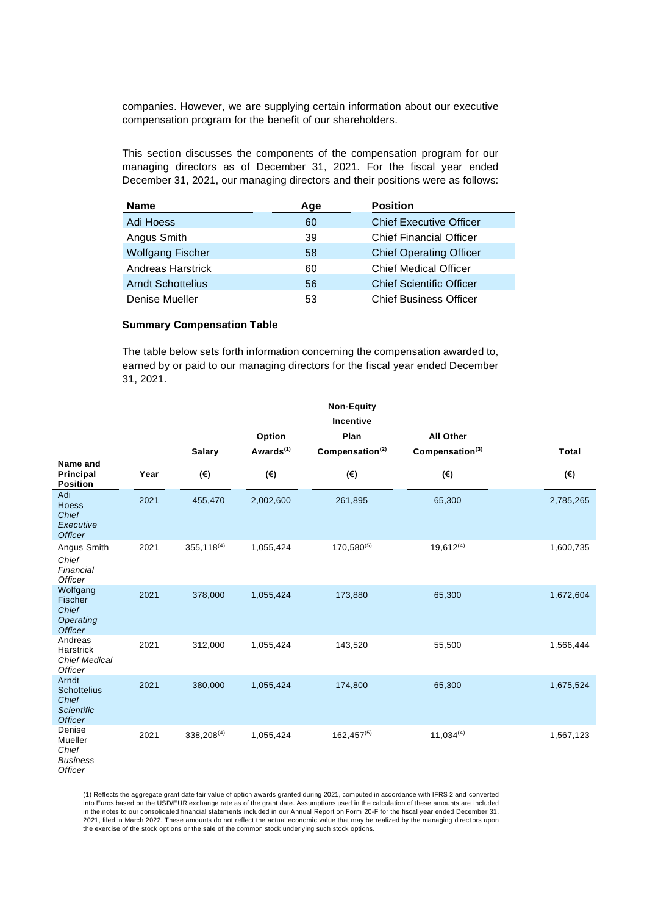companies. However, we are supplying certain information about our executive compensation program for the benefit of our shareholders.

This section discusses the components of the compensation program for our managing directors as of December 31, 2021. For the fiscal year ended December 31, 2021, our managing directors and their positions were as follows:

| <b>Name</b>              | Age | <b>Position</b>                 |
|--------------------------|-----|---------------------------------|
| Adi Hoess                | 60  | <b>Chief Executive Officer</b>  |
| Angus Smith              | 39  | <b>Chief Financial Officer</b>  |
| <b>Wolfgang Fischer</b>  | 58  | <b>Chief Operating Officer</b>  |
| <b>Andreas Harstrick</b> | 60  | <b>Chief Medical Officer</b>    |
| <b>Arndt Schottelius</b> | 56  | <b>Chief Scientific Officer</b> |
| Denise Mueller           | 53  | <b>Chief Business Officer</b>   |

#### **Summary Compensation Table**

The table below sets forth information concerning the compensation awarded to, earned by or paid to our managing directors for the fiscal year ended December 31, 2021.

|                                                                             |      | <b>Non-Equity</b><br><b>Incentive</b><br>Plan<br><b>All Other</b><br>Option |                           |                             |                             |              |
|-----------------------------------------------------------------------------|------|-----------------------------------------------------------------------------|---------------------------|-----------------------------|-----------------------------|--------------|
|                                                                             |      | <b>Salary</b>                                                               | Awards <sup>(1)</sup>     | Compensation <sup>(2)</sup> | Compensation <sup>(3)</sup> | <b>Total</b> |
| Name and<br><b>Principal</b><br><b>Position</b>                             | Year | $(\boldsymbol{\epsilon})$                                                   | $(\boldsymbol{\epsilon})$ | $(\epsilon)$                | $(\epsilon)$                | (€)          |
| Adi<br>Hoess<br>Chief<br>Executive<br><b>Officer</b>                        | 2021 | 455,470                                                                     | 2,002,600                 | 261,895                     | 65,300                      | 2,785,265    |
| Angus Smith<br>Chief<br>Financial<br><b>Officer</b>                         | 2021 | $355, 118^{(4)}$                                                            | 1,055,424                 | 170,580(5)                  | $19,612^{(4)}$              | 1,600,735    |
| Wolfgang<br>Fischer<br>Chief<br>Operating<br><b>Officer</b>                 | 2021 | 378,000                                                                     | 1,055,424                 | 173,880                     | 65,300                      | 1,672,604    |
| Andreas<br>Harstrick<br><b>Chief Medical</b><br>Officer                     | 2021 | 312,000                                                                     | 1,055,424                 | 143,520                     | 55,500                      | 1,566,444    |
| Arndt<br><b>Schottelius</b><br>Chief<br><b>Scientific</b><br><b>Officer</b> | 2021 | 380,000                                                                     | 1,055,424                 | 174,800                     | 65,300                      | 1,675,524    |
| Denise<br>Mueller<br>Chief<br><b>Business</b><br><b>Officer</b>             | 2021 | $338,208^{(4)}$                                                             | 1,055,424                 | $162,457^{(5)}$             | $11,034^{(4)}$              | 1,567,123    |

(1) Reflects the aggregate grant date fair value of option awards granted during 2021, computed in accordance with IFRS 2 and converted<br>into Euros based on the USD/EUR exchange rate as of the grant date. Assumptions used i in the notes to our consolidated financial statements included in our Annual Report on Form 20-F for the fiscal year ended December 31, 2021, filed in March 2022. These amounts do not reflect the actual economic value that may be realized by the managing direct ors upon the exercise of the stock options or the sale of the common stock underlying such stock options.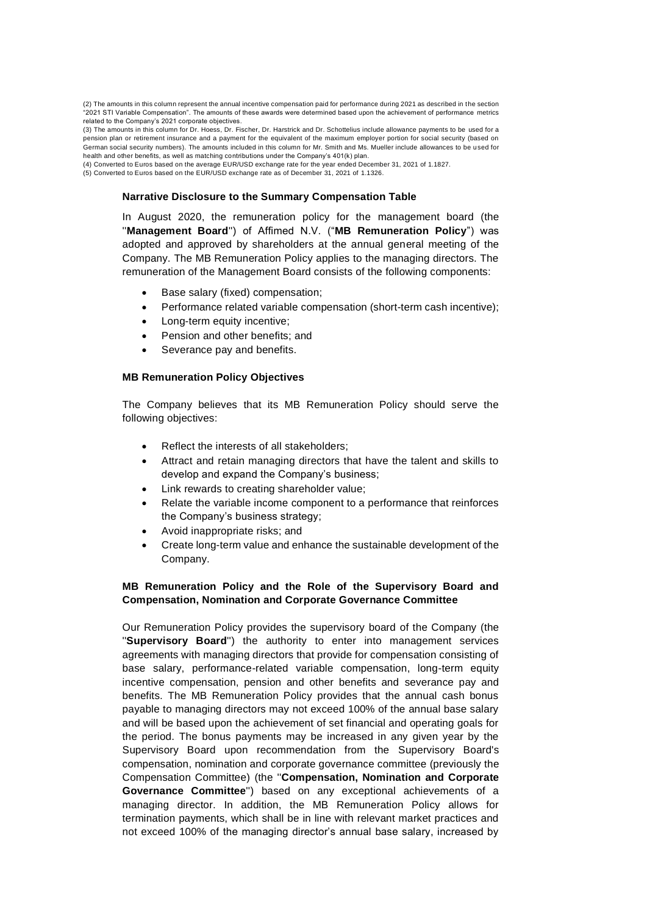(2) The amounts in this column represent the annual incentive compensation paid for performance during 2021 as described in the section "2021 STI Variable Compensation". The amounts of these awards were determined based upon the achievement of performance metrics related to the Company's 2021 corporate objectives.

(3) The amounts in this column for Dr. Hoess, Dr. Fischer, Dr. Harstrick and Dr. Schottelius include allowance payments to be used for a pension plan or retirement insurance and a payment for the equivalent of the maximum employer portion for social security (based on German social security numbers). The amounts included in this column for Mr. Smith and Ms. Mueller include allowances to be u sed for health and other benefits, as well as matching contributions under the Company's 401(k) plan.

(4) Converted to Euros based on the average EUR/USD exchange rate for the year ended December 31, 2021 of 1.1827.

(5) Converted to Euros based on the EUR/USD exchange rate as of December 31, 2021 of 1.1326.

#### **Narrative Disclosure to the Summary Compensation Table**

In August 2020, the remuneration policy for the management board (the ''**Management Board**'') of Affimed N.V. ("**MB Remuneration Policy**") was adopted and approved by shareholders at the annual general meeting of the Company. The MB Remuneration Policy applies to the managing directors. The remuneration of the Management Board consists of the following components:

- Base salary (fixed) compensation;
- Performance related variable compensation (short-term cash incentive);
- Long-term equity incentive;
- Pension and other benefits; and
- Severance pay and benefits.

#### **MB Remuneration Policy Objectives**

The Company believes that its MB Remuneration Policy should serve the following objectives:

- Reflect the interests of all stakeholders;
- Attract and retain managing directors that have the talent and skills to develop and expand the Company's business;
- Link rewards to creating shareholder value;
- Relate the variable income component to a performance that reinforces the Company's business strategy;
- Avoid inappropriate risks; and
- Create long-term value and enhance the sustainable development of the Company.

#### **MB Remuneration Policy and the Role of the Supervisory Board and Compensation, Nomination and Corporate Governance Committee**

Our Remuneration Policy provides the supervisory board of the Company (the ''**Supervisory Board**'') the authority to enter into management services agreements with managing directors that provide for compensation consisting of base salary, performance-related variable compensation, long-term equity incentive compensation, pension and other benefits and severance pay and benefits. The MB Remuneration Policy provides that the annual cash bonus payable to managing directors may not exceed 100% of the annual base salary and will be based upon the achievement of set financial and operating goals for the period. The bonus payments may be increased in any given year by the Supervisory Board upon recommendation from the Supervisory Board's compensation, nomination and corporate governance committee (previously the Compensation Committee) (the ''**Compensation, Nomination and Corporate Governance Committee**'') based on any exceptional achievements of a managing director. In addition, the MB Remuneration Policy allows for termination payments, which shall be in line with relevant market practices and not exceed 100% of the managing director's annual base salary, increased by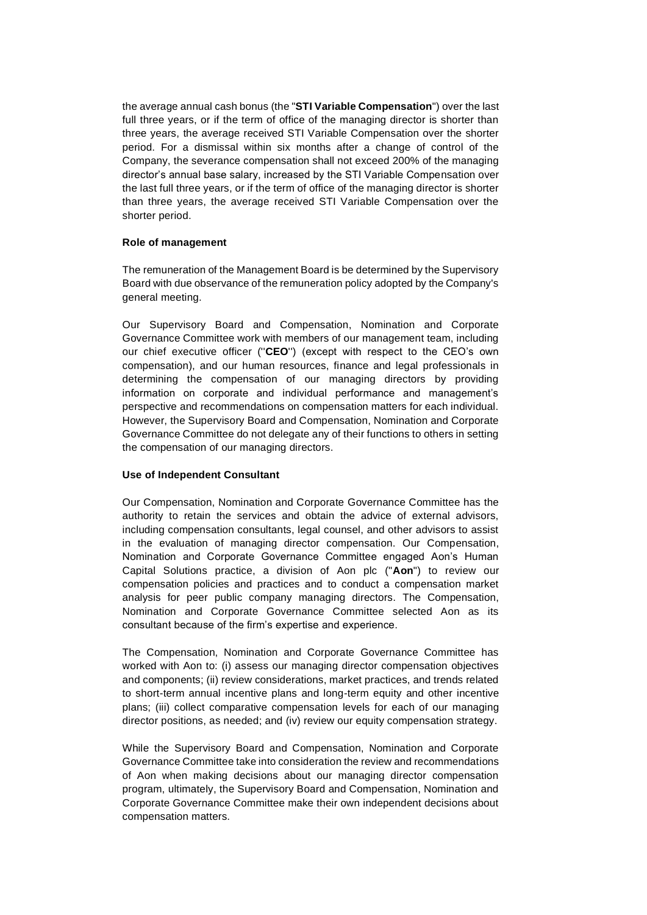the average annual cash bonus (the "**STI Variable Compensation**") over the last full three years, or if the term of office of the managing director is shorter than three years, the average received STI Variable Compensation over the shorter period. For a dismissal within six months after a change of control of the Company, the severance compensation shall not exceed 200% of the managing director's annual base salary, increased by the STI Variable Compensation over the last full three years, or if the term of office of the managing director is shorter than three years, the average received STI Variable Compensation over the shorter period.

## **Role of management**

The remuneration of the Management Board is be determined by the Supervisory Board with due observance of the remuneration policy adopted by the Company's general meeting.

Our Supervisory Board and Compensation, Nomination and Corporate Governance Committee work with members of our management team, including our chief executive officer (''**CEO**'') (except with respect to the CEO's own compensation), and our human resources, finance and legal professionals in determining the compensation of our managing directors by providing information on corporate and individual performance and management's perspective and recommendations on compensation matters for each individual. However, the Supervisory Board and Compensation, Nomination and Corporate Governance Committee do not delegate any of their functions to others in setting the compensation of our managing directors.

## **Use of Independent Consultant**

Our Compensation, Nomination and Corporate Governance Committee has the authority to retain the services and obtain the advice of external advisors, including compensation consultants, legal counsel, and other advisors to assist in the evaluation of managing director compensation. Our Compensation, Nomination and Corporate Governance Committee engaged Aon's Human Capital Solutions practice, a division of Aon plc ("**Aon**") to review our compensation policies and practices and to conduct a compensation market analysis for peer public company managing directors. The Compensation, Nomination and Corporate Governance Committee selected Aon as its consultant because of the firm's expertise and experience.

The Compensation, Nomination and Corporate Governance Committee has worked with Aon to: (i) assess our managing director compensation objectives and components; (ii) review considerations, market practices, and trends related to short-term annual incentive plans and long-term equity and other incentive plans; (iii) collect comparative compensation levels for each of our managing director positions, as needed; and (iv) review our equity compensation strategy.

While the Supervisory Board and Compensation, Nomination and Corporate Governance Committee take into consideration the review and recommendations of Aon when making decisions about our managing director compensation program, ultimately, the Supervisory Board and Compensation, Nomination and Corporate Governance Committee make their own independent decisions about compensation matters.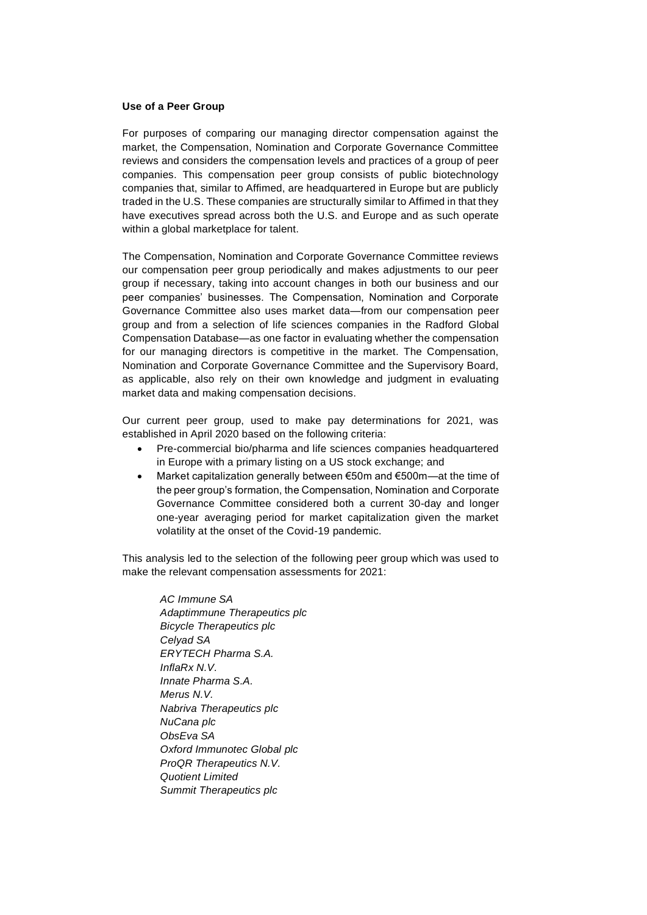#### **Use of a Peer Group**

For purposes of comparing our managing director compensation against the market, the Compensation, Nomination and Corporate Governance Committee reviews and considers the compensation levels and practices of a group of peer companies. This compensation peer group consists of public biotechnology companies that, similar to Affimed, are headquartered in Europe but are publicly traded in the U.S. These companies are structurally similar to Affimed in that they have executives spread across both the U.S. and Europe and as such operate within a global marketplace for talent.

The Compensation, Nomination and Corporate Governance Committee reviews our compensation peer group periodically and makes adjustments to our peer group if necessary, taking into account changes in both our business and our peer companies' businesses. The Compensation, Nomination and Corporate Governance Committee also uses market data—from our compensation peer group and from a selection of life sciences companies in the Radford Global Compensation Database—as one factor in evaluating whether the compensation for our managing directors is competitive in the market. The Compensation, Nomination and Corporate Governance Committee and the Supervisory Board, as applicable, also rely on their own knowledge and judgment in evaluating market data and making compensation decisions.

Our current peer group, used to make pay determinations for 2021, was established in April 2020 based on the following criteria:

- Pre-commercial bio/pharma and life sciences companies headquartered in Europe with a primary listing on a US stock exchange; and
- Market capitalization generally between €50m and €500m—at the time of the peer group's formation, the Compensation, Nomination and Corporate Governance Committee considered both a current 30-day and longer one-year averaging period for market capitalization given the market volatility at the onset of the Covid-19 pandemic.

This analysis led to the selection of the following peer group which was used to make the relevant compensation assessments for 2021:

> *AC Immune SA Adaptimmune Therapeutics plc Bicycle Therapeutics plc Celyad SA ERYTECH Pharma S.A. InflaRx N.V. Innate Pharma S.A. Merus N.V. Nabriva Therapeutics plc NuCana plc ObsEva SA Oxford Immunotec Global plc ProQR Therapeutics N.V. Quotient Limited Summit Therapeutics plc*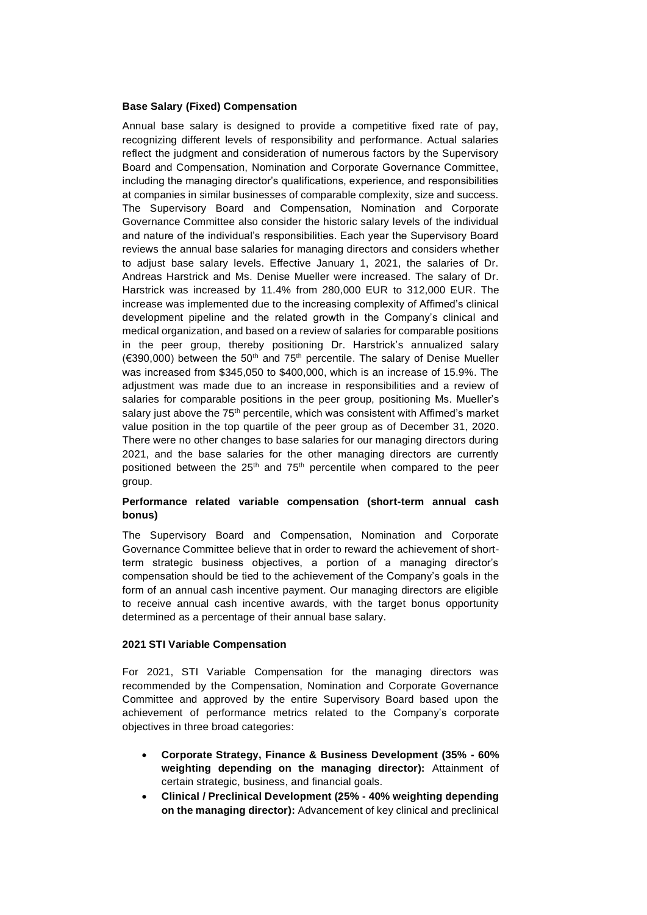#### **Base Salary (Fixed) Compensation**

Annual base salary is designed to provide a competitive fixed rate of pay, recognizing different levels of responsibility and performance. Actual salaries reflect the judgment and consideration of numerous factors by the Supervisory Board and Compensation, Nomination and Corporate Governance Committee, including the managing director's qualifications, experience, and responsibilities at companies in similar businesses of comparable complexity, size and success. The Supervisory Board and Compensation, Nomination and Corporate Governance Committee also consider the historic salary levels of the individual and nature of the individual's responsibilities. Each year the Supervisory Board reviews the annual base salaries for managing directors and considers whether to adjust base salary levels. Effective January 1, 2021, the salaries of Dr. Andreas Harstrick and Ms. Denise Mueller were increased. The salary of Dr. Harstrick was increased by 11.4% from 280,000 EUR to 312,000 EUR. The increase was implemented due to the increasing complexity of Affimed's clinical development pipeline and the related growth in the Company's clinical and medical organization, and based on a review of salaries for comparable positions in the peer group, thereby positioning Dr. Harstrick's annualized salary ( $\epsilon$ 390,000) between the 50<sup>th</sup> and 75<sup>th</sup> percentile. The salary of Denise Mueller was increased from \$345,050 to \$400,000, which is an increase of 15.9%. The adjustment was made due to an increase in responsibilities and a review of salaries for comparable positions in the peer group, positioning Ms. Mueller's salary just above the 75<sup>th</sup> percentile, which was consistent with Affimed's market value position in the top quartile of the peer group as of December 31, 2020. There were no other changes to base salaries for our managing directors during 2021, and the base salaries for the other managing directors are currently positioned between the  $25<sup>th</sup>$  and  $75<sup>th</sup>$  percentile when compared to the peer group.

## **Performance related variable compensation (short-term annual cash bonus)**

The Supervisory Board and Compensation, Nomination and Corporate Governance Committee believe that in order to reward the achievement of shortterm strategic business objectives, a portion of a managing director's compensation should be tied to the achievement of the Company's goals in the form of an annual cash incentive payment. Our managing directors are eligible to receive annual cash incentive awards, with the target bonus opportunity determined as a percentage of their annual base salary.

### **2021 STI Variable Compensation**

For 2021, STI Variable Compensation for the managing directors was recommended by the Compensation, Nomination and Corporate Governance Committee and approved by the entire Supervisory Board based upon the achievement of performance metrics related to the Company's corporate objectives in three broad categories:

- **Corporate Strategy, Finance & Business Development (35% - 60% weighting depending on the managing director):** Attainment of certain strategic, business, and financial goals.
- **Clinical / Preclinical Development (25% - 40% weighting depending on the managing director):** Advancement of key clinical and preclinical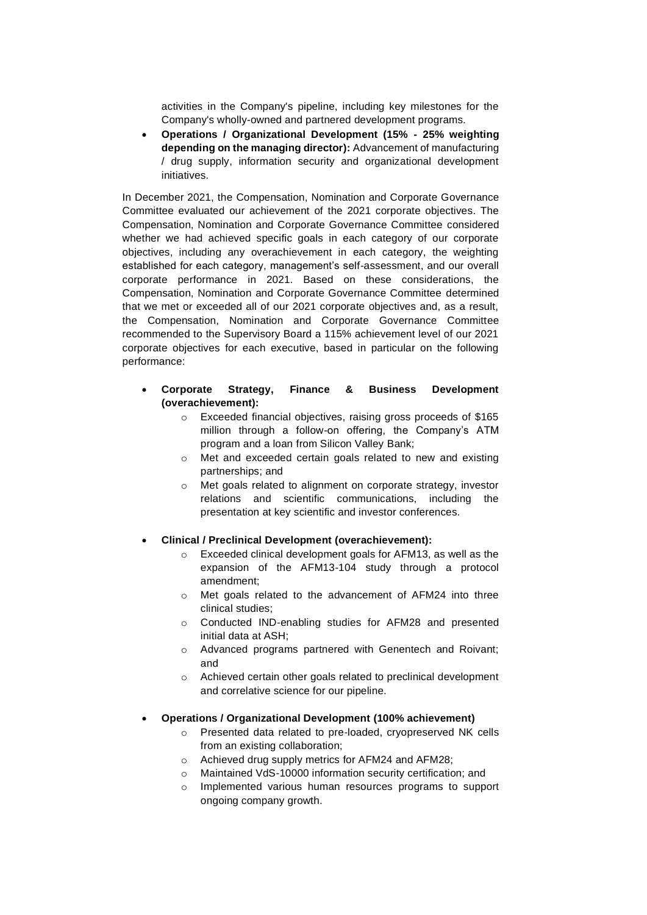activities in the Company's pipeline, including key milestones for the Company's wholly-owned and partnered development programs.

• **Operations / Organizational Development (15% - 25% weighting depending on the managing director):** Advancement of manufacturing / drug supply, information security and organizational development initiatives.

In December 2021, the Compensation, Nomination and Corporate Governance Committee evaluated our achievement of the 2021 corporate objectives. The Compensation, Nomination and Corporate Governance Committee considered whether we had achieved specific goals in each category of our corporate objectives, including any overachievement in each category, the weighting established for each category, management's self-assessment, and our overall corporate performance in 2021. Based on these considerations, the Compensation, Nomination and Corporate Governance Committee determined that we met or exceeded all of our 2021 corporate objectives and, as a result, the Compensation, Nomination and Corporate Governance Committee recommended to the Supervisory Board a 115% achievement level of our 2021 corporate objectives for each executive, based in particular on the following performance:

- **Corporate Strategy, Finance & Business Development (overachievement):** 
	- o Exceeded financial objectives, raising gross proceeds of \$165 million through a follow-on offering, the Company's ATM program and a loan from Silicon Valley Bank;
	- o Met and exceeded certain goals related to new and existing partnerships; and
	- o Met goals related to alignment on corporate strategy, investor relations and scientific communications, including the presentation at key scientific and investor conferences.
- **Clinical / Preclinical Development (overachievement):**
	- o Exceeded clinical development goals for AFM13, as well as the expansion of the AFM13-104 study through a protocol amendment;
	- o Met goals related to the advancement of AFM24 into three clinical studies;
	- o Conducted IND-enabling studies for AFM28 and presented initial data at ASH;
	- o Advanced programs partnered with Genentech and Roivant; and
	- o Achieved certain other goals related to preclinical development and correlative science for our pipeline.
- **Operations / Organizational Development (100% achievement)**
	- o Presented data related to pre-loaded, cryopreserved NK cells from an existing collaboration;
	- o Achieved drug supply metrics for AFM24 and AFM28;
	- o Maintained VdS-10000 information security certification; and
	- o Implemented various human resources programs to support ongoing company growth.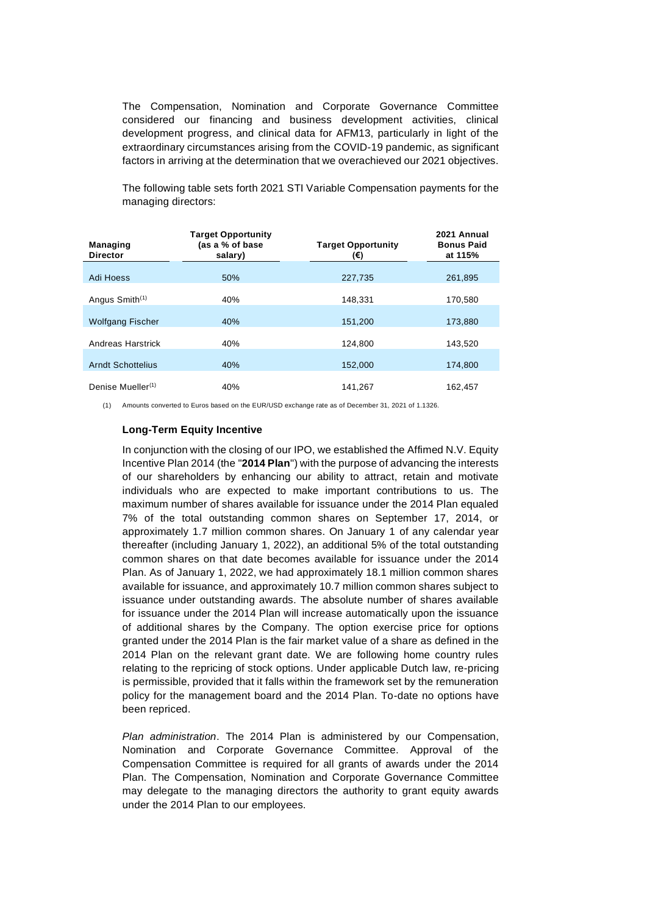The Compensation, Nomination and Corporate Governance Committee considered our financing and business development activities, clinical development progress, and clinical data for AFM13, particularly in light of the extraordinary circumstances arising from the COVID-19 pandemic, as significant factors in arriving at the determination that we overachieved our 2021 objectives.

The following table sets forth 2021 STI Variable Compensation payments for the managing directors:

| <b>Managing</b><br><b>Director</b> | <b>Target Opportunity</b><br>(as a % of base<br>salary) | <b>Target Opportunity</b><br>(€) | 2021 Annual<br><b>Bonus Paid</b><br>at 115% |  |
|------------------------------------|---------------------------------------------------------|----------------------------------|---------------------------------------------|--|
|                                    |                                                         |                                  |                                             |  |
| Adi Hoess                          | 50%                                                     | 227.735                          | 261.895                                     |  |
|                                    |                                                         |                                  |                                             |  |
| Angus Smith <sup>(1)</sup>         | 40%                                                     | 148.331                          | 170.580                                     |  |
|                                    |                                                         |                                  |                                             |  |
| <b>Wolfgang Fischer</b>            | 40%                                                     | 151,200                          | 173,880                                     |  |
|                                    |                                                         |                                  |                                             |  |
| Andreas Harstrick                  | 40%                                                     | 124.800                          | 143.520                                     |  |
|                                    |                                                         |                                  |                                             |  |
| <b>Arndt Schottelius</b>           | 40%                                                     | 152.000                          | 174.800                                     |  |
|                                    |                                                         |                                  |                                             |  |
| Denise Mueller <sup>(1)</sup>      | 40%                                                     | 141.267                          | 162.457                                     |  |

(1) Amounts converted to Euros based on the EUR/USD exchange rate as of December 31, 2021 of 1.1326.

#### **Long-Term Equity Incentive**

In conjunction with the closing of our IPO, we established the Affimed N.V. Equity Incentive Plan 2014 (the "**2014 Plan**") with the purpose of advancing the interests of our shareholders by enhancing our ability to attract, retain and motivate individuals who are expected to make important contributions to us. The maximum number of shares available for issuance under the 2014 Plan equaled 7% of the total outstanding common shares on September 17, 2014, or approximately 1.7 million common shares. On January 1 of any calendar year thereafter (including January 1, 2022), an additional 5% of the total outstanding common shares on that date becomes available for issuance under the 2014 Plan. As of January 1, 2022, we had approximately 18.1 million common shares available for issuance, and approximately 10.7 million common shares subject to issuance under outstanding awards. The absolute number of shares available for issuance under the 2014 Plan will increase automatically upon the issuance of additional shares by the Company. The option exercise price for options granted under the 2014 Plan is the fair market value of a share as defined in the 2014 Plan on the relevant grant date. We are following home country rules relating to the repricing of stock options. Under applicable Dutch law, re-pricing is permissible, provided that it falls within the framework set by the remuneration policy for the management board and the 2014 Plan. To-date no options have been repriced.

*Plan administration*. The 2014 Plan is administered by our Compensation, Nomination and Corporate Governance Committee. Approval of the Compensation Committee is required for all grants of awards under the 2014 Plan. The Compensation, Nomination and Corporate Governance Committee may delegate to the managing directors the authority to grant equity awards under the 2014 Plan to our employees.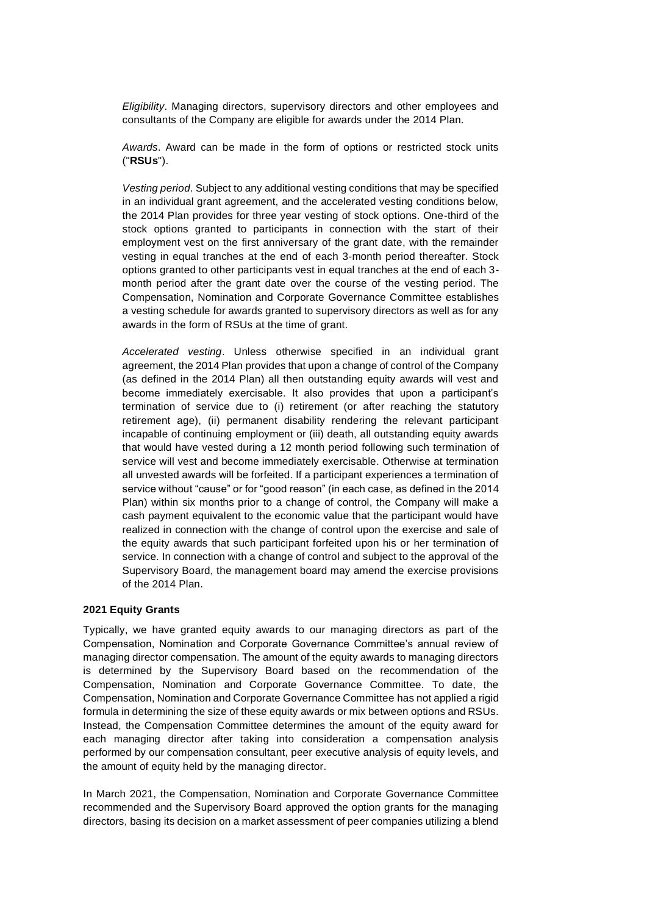*Eligibility*. Managing directors, supervisory directors and other employees and consultants of the Company are eligible for awards under the 2014 Plan.

*Awards*. Award can be made in the form of options or restricted stock units ("**RSUs**").

*Vesting period*. Subject to any additional vesting conditions that may be specified in an individual grant agreement, and the accelerated vesting conditions below, the 2014 Plan provides for three year vesting of stock options. One-third of the stock options granted to participants in connection with the start of their employment vest on the first anniversary of the grant date, with the remainder vesting in equal tranches at the end of each 3-month period thereafter. Stock options granted to other participants vest in equal tranches at the end of each 3 month period after the grant date over the course of the vesting period. The Compensation, Nomination and Corporate Governance Committee establishes a vesting schedule for awards granted to supervisory directors as well as for any awards in the form of RSUs at the time of grant.

*Accelerated vesting*. Unless otherwise specified in an individual grant agreement, the 2014 Plan provides that upon a change of control of the Company (as defined in the 2014 Plan) all then outstanding equity awards will vest and become immediately exercisable. It also provides that upon a participant's termination of service due to (i) retirement (or after reaching the statutory retirement age), (ii) permanent disability rendering the relevant participant incapable of continuing employment or (iii) death, all outstanding equity awards that would have vested during a 12 month period following such termination of service will vest and become immediately exercisable. Otherwise at termination all unvested awards will be forfeited. If a participant experiences a termination of service without "cause" or for "good reason" (in each case, as defined in the 2014 Plan) within six months prior to a change of control, the Company will make a cash payment equivalent to the economic value that the participant would have realized in connection with the change of control upon the exercise and sale of the equity awards that such participant forfeited upon his or her termination of service. In connection with a change of control and subject to the approval of the Supervisory Board, the management board may amend the exercise provisions of the 2014 Plan.

#### **2021 Equity Grants**

Typically, we have granted equity awards to our managing directors as part of the Compensation, Nomination and Corporate Governance Committee's annual review of managing director compensation. The amount of the equity awards to managing directors is determined by the Supervisory Board based on the recommendation of the Compensation, Nomination and Corporate Governance Committee. To date, the Compensation, Nomination and Corporate Governance Committee has not applied a rigid formula in determining the size of these equity awards or mix between options and RSUs. Instead, the Compensation Committee determines the amount of the equity award for each managing director after taking into consideration a compensation analysis performed by our compensation consultant, peer executive analysis of equity levels, and the amount of equity held by the managing director.

In March 2021, the Compensation, Nomination and Corporate Governance Committee recommended and the Supervisory Board approved the option grants for the managing directors, basing its decision on a market assessment of peer companies utilizing a blend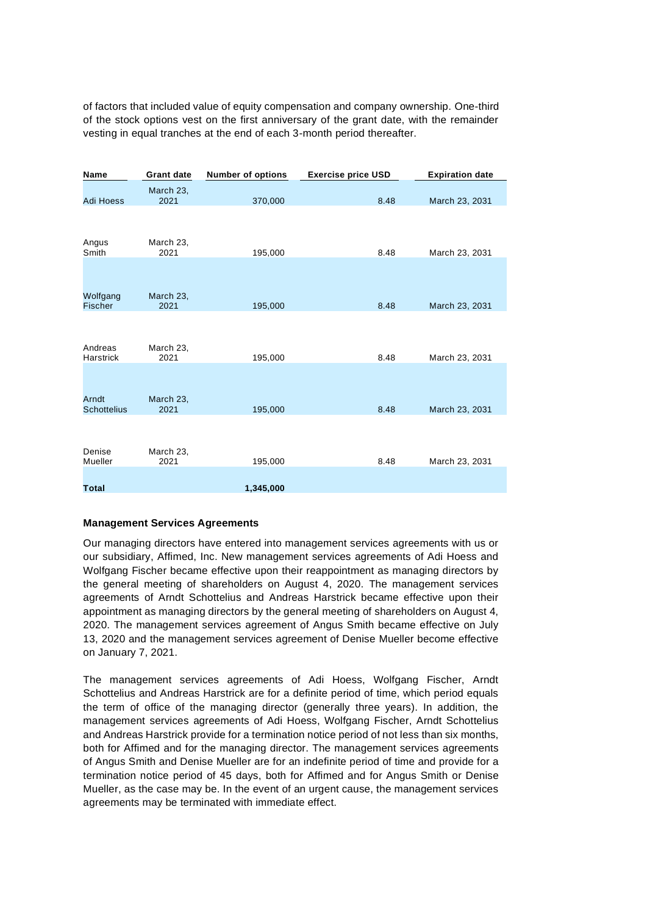of factors that included value of equity compensation and company ownership. One-third of the stock options vest on the first anniversary of the grant date, with the remainder vesting in equal tranches at the end of each 3-month period thereafter.

| Name                        | <b>Grant date</b> | <b>Number of options</b> | <b>Exercise price USD</b> | <b>Expiration date</b> |
|-----------------------------|-------------------|--------------------------|---------------------------|------------------------|
| <b>Adi Hoess</b>            | March 23,<br>2021 | 370,000                  | 8.48                      | March 23, 2031         |
|                             |                   |                          |                           |                        |
| Angus<br>Smith              | March 23,<br>2021 | 195,000                  | 8.48                      | March 23, 2031         |
|                             |                   |                          |                           |                        |
| Wolfgang<br><b>Fischer</b>  | March 23,<br>2021 | 195,000                  | 8.48                      | March 23, 2031         |
|                             |                   |                          |                           |                        |
| Andreas<br>Harstrick        | March 23,<br>2021 | 195,000                  | 8.48                      | March 23, 2031         |
|                             |                   |                          |                           |                        |
| Arndt<br><b>Schottelius</b> | March 23,<br>2021 | 195,000                  | 8.48                      | March 23, 2031         |
|                             |                   |                          |                           |                        |
| Denise<br>Mueller           | March 23,<br>2021 | 195,000                  | 8.48                      | March 23, 2031         |
|                             |                   |                          |                           |                        |
| <b>Total</b>                |                   | 1,345,000                |                           |                        |

#### **Management Services Agreements**

Our managing directors have entered into management services agreements with us or our subsidiary, Affimed, Inc. New management services agreements of Adi Hoess and Wolfgang Fischer became effective upon their reappointment as managing directors by the general meeting of shareholders on August 4, 2020. The management services agreements of Arndt Schottelius and Andreas Harstrick became effective upon their appointment as managing directors by the general meeting of shareholders on August 4, 2020. The management services agreement of Angus Smith became effective on July 13, 2020 and the management services agreement of Denise Mueller become effective on January 7, 2021.

The management services agreements of Adi Hoess, Wolfgang Fischer, Arndt Schottelius and Andreas Harstrick are for a definite period of time, which period equals the term of office of the managing director (generally three years). In addition, the management services agreements of Adi Hoess, Wolfgang Fischer, Arndt Schottelius and Andreas Harstrick provide for a termination notice period of not less than six months, both for Affimed and for the managing director. The management services agreements of Angus Smith and Denise Mueller are for an indefinite period of time and provide for a termination notice period of 45 days, both for Affimed and for Angus Smith or Denise Mueller, as the case may be. In the event of an urgent cause, the management services agreements may be terminated with immediate effect.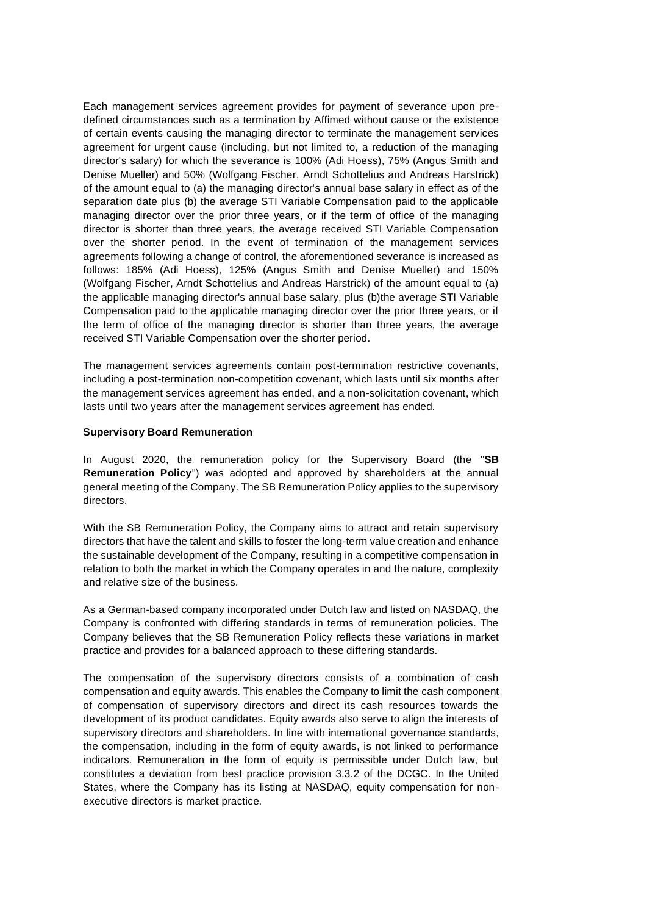Each management services agreement provides for payment of severance upon predefined circumstances such as a termination by Affimed without cause or the existence of certain events causing the managing director to terminate the management services agreement for urgent cause (including, but not limited to, a reduction of the managing director's salary) for which the severance is 100% (Adi Hoess), 75% (Angus Smith and Denise Mueller) and 50% (Wolfgang Fischer, Arndt Schottelius and Andreas Harstrick) of the amount equal to (a) the managing director's annual base salary in effect as of the separation date plus (b) the average STI Variable Compensation paid to the applicable managing director over the prior three years, or if the term of office of the managing director is shorter than three years, the average received STI Variable Compensation over the shorter period. In the event of termination of the management services agreements following a change of control, the aforementioned severance is increased as follows: 185% (Adi Hoess), 125% (Angus Smith and Denise Mueller) and 150% (Wolfgang Fischer, Arndt Schottelius and Andreas Harstrick) of the amount equal to (a) the applicable managing director's annual base salary, plus (b)the average STI Variable Compensation paid to the applicable managing director over the prior three years, or if the term of office of the managing director is shorter than three years, the average received STI Variable Compensation over the shorter period.

The management services agreements contain post-termination restrictive covenants, including a post-termination non-competition covenant, which lasts until six months after the management services agreement has ended, and a non-solicitation covenant, which lasts until two years after the management services agreement has ended.

#### **Supervisory Board Remuneration**

In August 2020, the remuneration policy for the Supervisory Board (the "**SB Remuneration Policy**") was adopted and approved by shareholders at the annual general meeting of the Company. The SB Remuneration Policy applies to the supervisory directors.

With the SB Remuneration Policy, the Company aims to attract and retain supervisory directors that have the talent and skills to foster the long-term value creation and enhance the sustainable development of the Company, resulting in a competitive compensation in relation to both the market in which the Company operates in and the nature, complexity and relative size of the business.

As a German-based company incorporated under Dutch law and listed on NASDAQ, the Company is confronted with differing standards in terms of remuneration policies. The Company believes that the SB Remuneration Policy reflects these variations in market practice and provides for a balanced approach to these differing standards.

The compensation of the supervisory directors consists of a combination of cash compensation and equity awards. This enables the Company to limit the cash component of compensation of supervisory directors and direct its cash resources towards the development of its product candidates. Equity awards also serve to align the interests of supervisory directors and shareholders. In line with international governance standards, the compensation, including in the form of equity awards, is not linked to performance indicators. Remuneration in the form of equity is permissible under Dutch law, but constitutes a deviation from best practice provision 3.3.2 of the DCGC. In the United States, where the Company has its listing at NASDAQ, equity compensation for nonexecutive directors is market practice.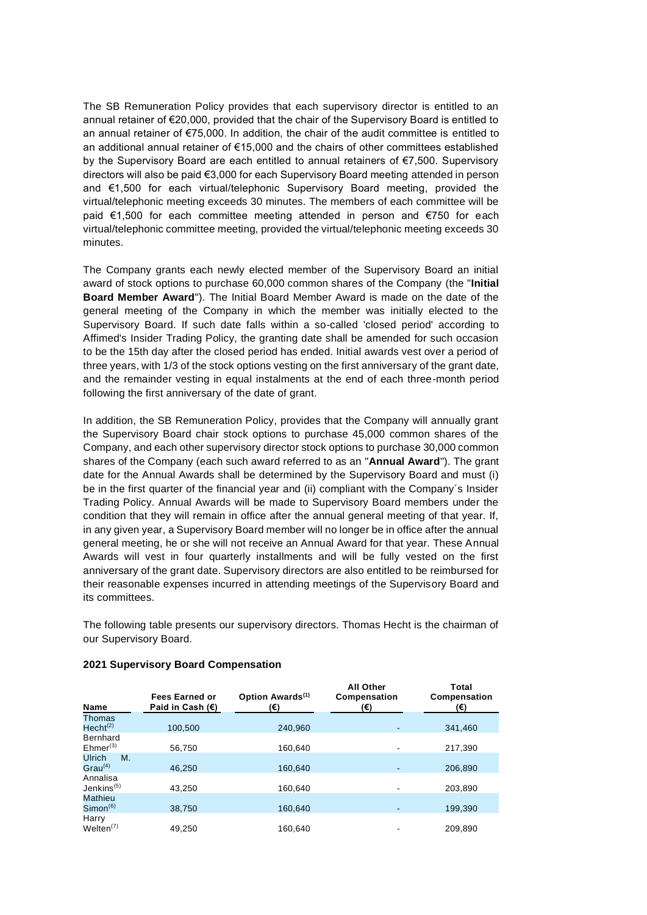The SB Remuneration Policy provides that each supervisory director is entitled to an annual retainer of €20,000, provided that the chair of the Supervisory Board is entitled to an annual retainer of €75,000. In addition, the chair of the audit committee is entitled to an additional annual retainer of €15,000 and the chairs of other committees established by the Supervisory Board are each entitled to annual retainers of €7,500. Supervisory directors will also be paid €3,000 for each Supervisory Board meeting attended in person and €1,500 for each virtual/telephonic Supervisory Board meeting, provided the virtual/telephonic meeting exceeds 30 minutes. The members of each committee will be paid €1,500 for each committee meeting attended in person and €750 for each virtual/telephonic committee meeting, provided the virtual/telephonic meeting exceeds 30 minutes.

The Company grants each newly elected member of the Supervisory Board an initial award of stock options to purchase 60,000 common shares of the Company (the "**Initial Board Member Award**"). The Initial Board Member Award is made on the date of the general meeting of the Company in which the member was initially elected to the Supervisory Board. If such date falls within a so-called 'closed period' according to Affimed's Insider Trading Policy, the granting date shall be amended for such occasion to be the 15th day after the closed period has ended. Initial awards vest over a period of three years, with 1/3 of the stock options vesting on the first anniversary of the grant date, and the remainder vesting in equal instalments at the end of each three-month period following the first anniversary of the date of grant.

In addition, the SB Remuneration Policy, provides that the Company will annually grant the Supervisory Board chair stock options to purchase 45,000 common shares of the Company, and each other supervisory director stock options to purchase 30,000 common shares of the Company (each such award referred to as an "**Annual Award**"). The grant date for the Annual Awards shall be determined by the Supervisory Board and must (i) be in the first quarter of the financial year and (ii) compliant with the Company´s Insider Trading Policy. Annual Awards will be made to Supervisory Board members under the condition that they will remain in office after the annual general meeting of that year. If, in any given year, a Supervisory Board member will no longer be in office after the annual general meeting, he or she will not receive an Annual Award for that year. These Annual Awards will vest in four quarterly installments and will be fully vested on the first anniversary of the grant date. Supervisory directors are also entitled to be reimbursed for their reasonable expenses incurred in attending meetings of the Supervisory Board and its committees.

The following table presents our supervisory directors. Thomas Hecht is the chairman of our Supervisory Board.

| <b>Name</b>                      | <b>Fees Earned or</b><br>Paid in Cash $(E)$ | Option Awards <sup>(1)</sup><br>(€) | All Other<br>Compensation<br>(€) | <b>Total</b><br>Compensation<br>(€) |
|----------------------------------|---------------------------------------------|-------------------------------------|----------------------------------|-------------------------------------|
| Thomas                           |                                             |                                     |                                  |                                     |
| Hecht <sup>(2)</sup>             | 100.500                                     | 240.960                             |                                  | 341,460                             |
| Bernhard<br>Ehmer <sup>(3)</sup> | 56,750                                      | 160.640                             | ٠                                | 217,390                             |
| <b>Ulrich</b><br>M.              |                                             |                                     |                                  |                                     |
| $Grau^{(4)}$                     | 46.250                                      | 160,640                             |                                  | 206,890                             |
| Annalisa                         |                                             |                                     |                                  |                                     |
| Jenkins $(5)$                    | 43.250                                      | 160.640                             |                                  | 203,890                             |
| Mathieu                          |                                             |                                     |                                  |                                     |
| $Simon^{(6)}$                    | 38,750                                      | 160,640                             |                                  | 199,390                             |
| Harry                            |                                             |                                     |                                  |                                     |
| Welten $(7)$                     | 49.250                                      | 160.640                             |                                  | 209.890                             |

#### **2021 Supervisory Board Compensation**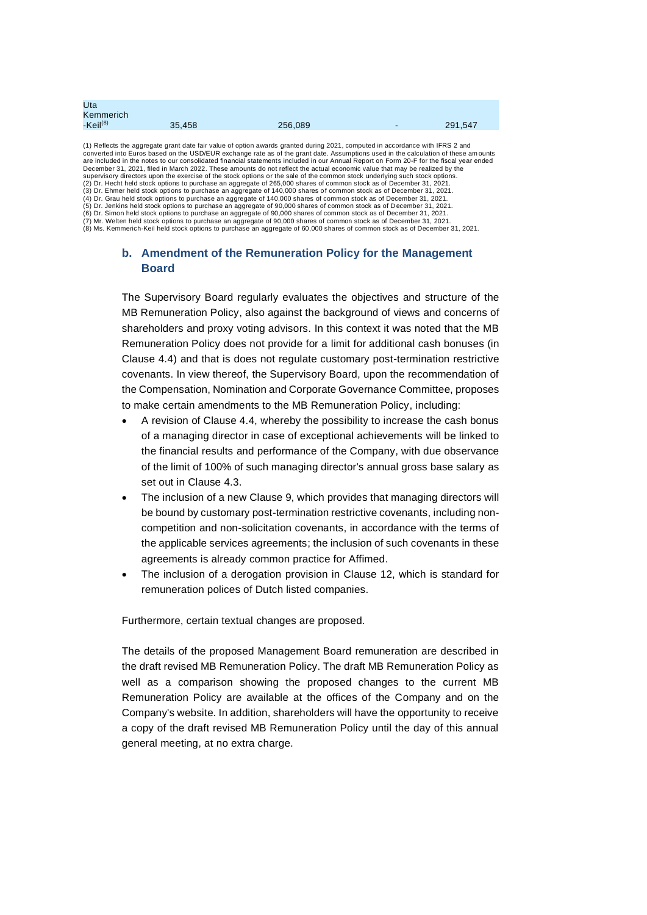| Uta                  |        |         |         |
|----------------------|--------|---------|---------|
| Kemmerich            |        |         |         |
| -Keil <sup>(8)</sup> | 35,458 | 256,089 | 291,547 |
|                      |        |         |         |

(1) Reflects the aggregate grant date fair value of option awards granted during 2021, computed in accordance with IFRS 2 and converted into Euros based on the USD/EUR exchange rate as of the grant date. Assumptions used in the calculation of these am ounts are included in the notes to our consolidated financial statements included in our Annual Report on Form 20-F for the fiscal year ended December 31, 2021, filed in March 2022. These amounts do not reflect the actual economic value that may be realized by the supervisory directors upon the exercise of the stock options or the sale of the common stock underlying such stock options.<br>(2) Dr. Hecht held stock options to purchase an aggregate of 265,000 shares of common stock as of (3) Dr. Ehmer held stock options to purchase an aggregate of 140,000 shares of common stock as of December 31, 2021. (4) Dr. Grau held stock options to purchase an aggregate of 140,000 shares of common stock as of December 31, 2021. (5) Dr. Jenkins held stock options to purchase an aggregate of 90,000 shares of common stock as of December 31, 2021. (6) Dr. Simon held stock options to purchase an aggregate of 90,000 shares of common stock as of December 31, 2021. (7) Mr. Welten held stock options to purchase an aggregate of 90,000 shares of common stock as of December 31, 2021.<br>(8) Ms. Kemmerich-Keil held stock options to purchase an aggregate of 60,000 shares of common stock as of

## **b. Amendment of the Remuneration Policy for the Management Board**

The Supervisory Board regularly evaluates the objectives and structure of the MB Remuneration Policy, also against the background of views and concerns of shareholders and proxy voting advisors. In this context it was noted that the MB Remuneration Policy does not provide for a limit for additional cash bonuses (in Clause 4.4) and that is does not regulate customary post-termination restrictive covenants. In view thereof, the Supervisory Board, upon the recommendation of the Compensation, Nomination and Corporate Governance Committee, proposes to make certain amendments to the MB Remuneration Policy, including:

- A revision of Clause 4.4, whereby the possibility to increase the cash bonus of a managing director in case of exceptional achievements will be linked to the financial results and performance of the Company, with due observance of the limit of 100% of such managing director's annual gross base salary as set out in Clause 4.3.
- The inclusion of a new Clause 9, which provides that managing directors will be bound by customary post-termination restrictive covenants, including noncompetition and non-solicitation covenants, in accordance with the terms of the applicable services agreements; the inclusion of such covenants in these agreements is already common practice for Affimed.
- The inclusion of a derogation provision in Clause 12, which is standard for remuneration polices of Dutch listed companies.

Furthermore, certain textual changes are proposed.

The details of the proposed Management Board remuneration are described in the draft revised MB Remuneration Policy. The draft MB Remuneration Policy as well as a comparison showing the proposed changes to the current MB Remuneration Policy are available at the offices of the Company and on the Company's website. In addition, shareholders will have the opportunity to receive a copy of the draft revised MB Remuneration Policy until the day of this annual general meeting, at no extra charge.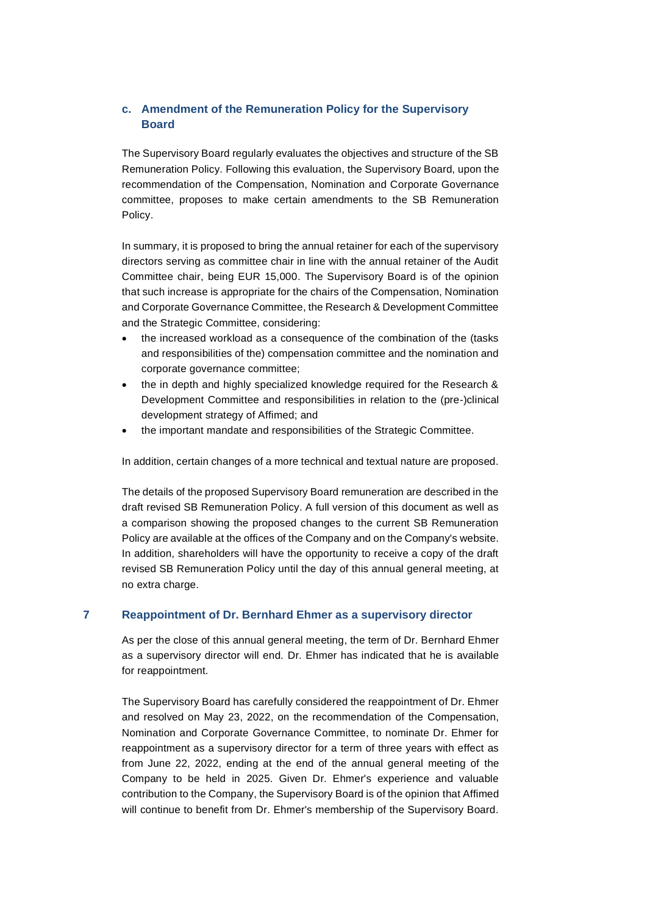# **c. Amendment of the Remuneration Policy for the Supervisory Board**

The Supervisory Board regularly evaluates the objectives and structure of the SB Remuneration Policy. Following this evaluation, the Supervisory Board, upon the recommendation of the Compensation, Nomination and Corporate Governance committee, proposes to make certain amendments to the SB Remuneration Policy.

In summary, it is proposed to bring the annual retainer for each of the supervisory directors serving as committee chair in line with the annual retainer of the Audit Committee chair, being EUR 15,000. The Supervisory Board is of the opinion that such increase is appropriate for the chairs of the Compensation, Nomination and Corporate Governance Committee, the Research & Development Committee and the Strategic Committee, considering:

- the increased workload as a consequence of the combination of the (tasks and responsibilities of the) compensation committee and the nomination and corporate governance committee;
- the in depth and highly specialized knowledge required for the Research & Development Committee and responsibilities in relation to the (pre-)clinical development strategy of Affimed; and
- the important mandate and responsibilities of the Strategic Committee.

In addition, certain changes of a more technical and textual nature are proposed.

The details of the proposed Supervisory Board remuneration are described in the draft revised SB Remuneration Policy. A full version of this document as well as a comparison showing the proposed changes to the current SB Remuneration Policy are available at the offices of the Company and on the Company's website. In addition, shareholders will have the opportunity to receive a copy of the draft revised SB Remuneration Policy until the day of this annual general meeting, at no extra charge.

## **7 Reappointment of Dr. Bernhard Ehmer as a supervisory director**

As per the close of this annual general meeting, the term of Dr. Bernhard Ehmer as a supervisory director will end. Dr. Ehmer has indicated that he is available for reappointment.

The Supervisory Board has carefully considered the reappointment of Dr. Ehmer and resolved on May 23, 2022, on the recommendation of the Compensation, Nomination and Corporate Governance Committee, to nominate Dr. Ehmer for reappointment as a supervisory director for a term of three years with effect as from June 22, 2022, ending at the end of the annual general meeting of the Company to be held in 2025. Given Dr. Ehmer's experience and valuable contribution to the Company, the Supervisory Board is of the opinion that Affimed will continue to benefit from Dr. Ehmer's membership of the Supervisory Board.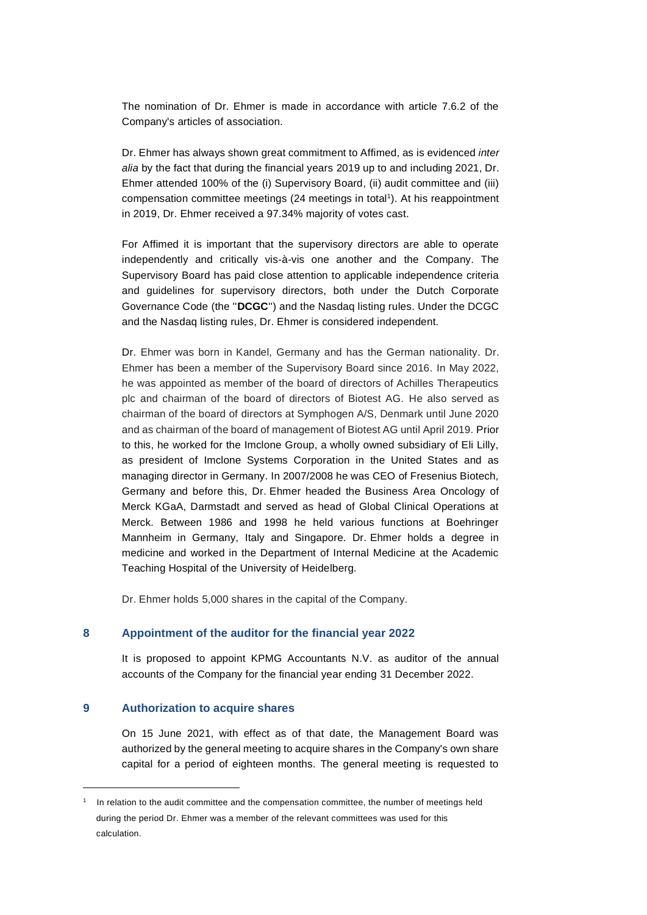The nomination of Dr. Ehmer is made in accordance with article 7.6.2 of the Company's articles of association.

Dr. Ehmer has always shown great commitment to Affimed, as is evidenced *inter alia* by the fact that during the financial years 2019 up to and including 2021, Dr. Ehmer attended 100% of the (i) Supervisory Board, (ii) audit committee and (iii) compensation committee meetings (24 meetings in total<sup>1</sup>). At his reappointment in 2019, Dr. Ehmer received a 97.34% majority of votes cast.

For Affimed it is important that the supervisory directors are able to operate independently and critically vis-à-vis one another and the Company. The Supervisory Board has paid close attention to applicable independence criteria and guidelines for supervisory directors, both under the Dutch Corporate Governance Code (the ''**DCGC**'') and the Nasdaq listing rules. Under the DCGC and the Nasdaq listing rules, Dr. Ehmer is considered independent.

Dr. Ehmer was born in Kandel, Germany and has the German nationality. Dr. Ehmer has been a member of the Supervisory Board since 2016. In May 2022, he was appointed as member of the board of directors of Achilles Therapeutics plc and chairman of the board of directors of Biotest AG. He also served as chairman of the board of directors at Symphogen A/S, Denmark until June 2020 and as chairman of the board of management of Biotest AG until April 2019. Prior to this, he worked for the Imclone Group, a wholly owned subsidiary of Eli Lilly, as president of Imclone Systems Corporation in the United States and as managing director in Germany. In 2007/2008 he was CEO of Fresenius Biotech, Germany and before this, Dr. Ehmer headed the Business Area Oncology of Merck KGaA, Darmstadt and served as head of Global Clinical Operations at Merck. Between 1986 and 1998 he held various functions at Boehringer Mannheim in Germany, Italy and Singapore. Dr. Ehmer holds a degree in medicine and worked in the Department of Internal Medicine at the Academic Teaching Hospital of the University of Heidelberg.

Dr. Ehmer holds 5,000 shares in the capital of the Company.

#### **8 Appointment of the auditor for the financial year 2022**

It is proposed to appoint KPMG Accountants N.V. as auditor of the annual accounts of the Company for the financial year ending 31 December 2022.

## **9 Authorization to acquire shares**

On 15 June 2021, with effect as of that date, the Management Board was authorized by the general meeting to acquire shares in the Company's own share capital for a period of eighteen months. The general meeting is requested to

<sup>1</sup> In relation to the audit committee and the compensation committee, the number of meetings held during the period Dr. Ehmer was a member of the relevant committees was used for this calculation.